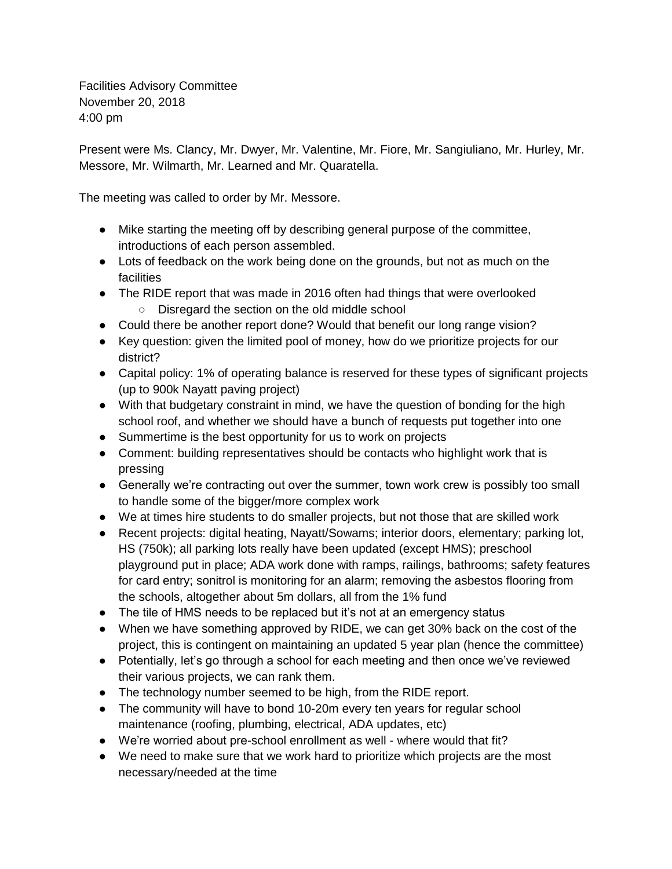Facilities Advisory Committee November 20, 2018 4:00 pm

Present were Ms. Clancy, Mr. Dwyer, Mr. Valentine, Mr. Fiore, Mr. Sangiuliano, Mr. Hurley, Mr. Messore, Mr. Wilmarth, Mr. Learned and Mr. Quaratella.

The meeting was called to order by Mr. Messore.

- Mike starting the meeting off by describing general purpose of the committee, introductions of each person assembled.
- Lots of feedback on the work being done on the grounds, but not as much on the facilities
- The RIDE report that was made in 2016 often had things that were overlooked ○ Disregard the section on the old middle school
- Could there be another report done? Would that benefit our long range vision?
- Key question: given the limited pool of money, how do we prioritize projects for our district?
- Capital policy: 1% of operating balance is reserved for these types of significant projects (up to 900k Nayatt paving project)
- With that budgetary constraint in mind, we have the question of bonding for the high school roof, and whether we should have a bunch of requests put together into one
- Summertime is the best opportunity for us to work on projects
- Comment: building representatives should be contacts who highlight work that is pressing
- Generally we're contracting out over the summer, town work crew is possibly too small to handle some of the bigger/more complex work
- We at times hire students to do smaller projects, but not those that are skilled work
- Recent projects: digital heating, Nayatt/Sowams; interior doors, elementary; parking lot, HS (750k); all parking lots really have been updated (except HMS); preschool playground put in place; ADA work done with ramps, railings, bathrooms; safety features for card entry; sonitrol is monitoring for an alarm; removing the asbestos flooring from the schools, altogether about 5m dollars, all from the 1% fund
- The tile of HMS needs to be replaced but it's not at an emergency status
- When we have something approved by RIDE, we can get 30% back on the cost of the project, this is contingent on maintaining an updated 5 year plan (hence the committee)
- Potentially, let's go through a school for each meeting and then once we've reviewed their various projects, we can rank them.
- The technology number seemed to be high, from the RIDE report.
- The community will have to bond 10-20m every ten years for regular school maintenance (roofing, plumbing, electrical, ADA updates, etc)
- We're worried about pre-school enrollment as well where would that fit?
- We need to make sure that we work hard to prioritize which projects are the most necessary/needed at the time